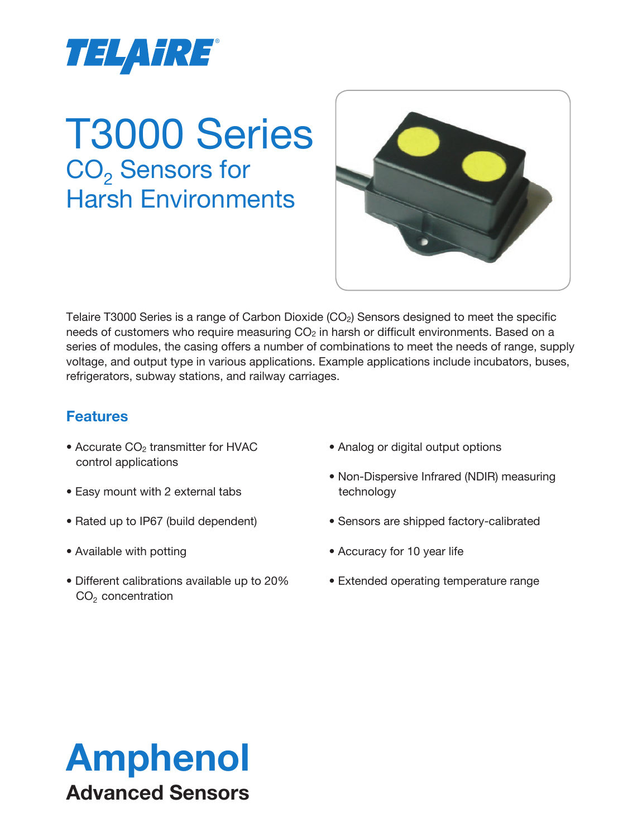

# T3000 Series CO<sub>2</sub> Sensors for Harsh Environments



Telaire T3000 Series is a range of Carbon Dioxide  $(CO<sub>2</sub>)$  Sensors designed to meet the specific needs of customers who require measuring  $CO<sub>2</sub>$  in harsh or difficult environments. Based on a series of modules, the casing offers a number of combinations to meet the needs of range, supply voltage, and output type in various applications. Example applications include incubators, buses, refrigerators, subway stations, and railway carriages.

# **Features**

- Accurate CO<sub>2</sub> transmitter for HVAC control applications
- Easy mount with 2 external tabs
- Rated up to IP67 (build dependent)
- Available with potting
- Different calibrations available up to 20%  $CO<sub>2</sub>$  concentration
- Analog or digital output options
- Non-Dispersive Infrared (NDIR) measuring technology
- Sensors are shipped factory-calibrated
- Accuracy for 10 year life
- Extended operating temperature range

# Amphenol Advanced Sensors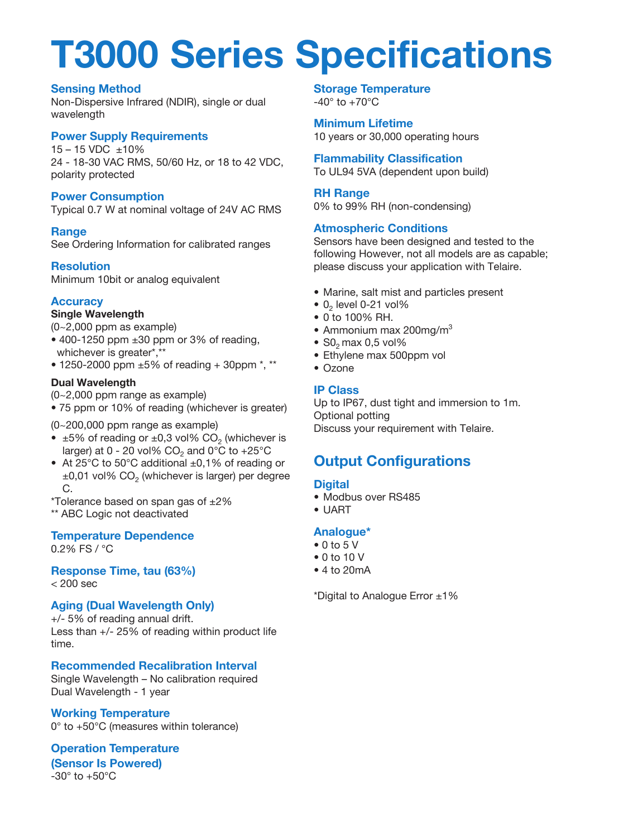# **T3000 Series Specifications**

#### **Sensing Method**

Non-Dispersive Infrared (NDIR), single or dual wavelength

#### **Power Supply Requirements**

15 – 15 VDC ±10% 24 - 18-30 VAC RMS, 50/60 Hz, or 18 to 42 VDC, polarity protected

#### **Power Consumption**

Typical 0.7 W at nominal voltage of 24V AC RMS

#### **Range**

See Ordering Information for calibrated ranges

#### **Resolution**

Minimum 10bit or analog equivalent

#### **Accuracy**

#### **Single Wavelength**

- (0~2,000 ppm as example)
- $\bullet$  400-1250 ppm  $\pm 30$  ppm or 3% of reading, whichever is greater\*,\*\*
- 1250-2000 ppm ±5% of reading + 30ppm \*, \*\*

#### **Dual Wavelength**

- (0~2,000 ppm range as example)
- 75 ppm or 10% of reading (whichever is greater)

(0~200,000 ppm range as example)

- $\pm 5\%$  of reading or  $\pm 0.3$  vol% CO<sub>2</sub> (whichever is larger) at 0 - 20 vol%  $CO<sub>2</sub>$  and 0°C to +25°C
- At 25°C to 50°C additional ±0,1% of reading or  $\pm 0,01$  vol% CO<sub>2</sub> (whichever is larger) per degree C.
- \*Tolerance based on span gas of ±2%

\*\* ABC Logic not deactivated

# **Temperature Dependence**

0.2% FS / °C

#### **Response Time, tau (63%)**  $< 200$  sec

#### **Aging (Dual Wavelength Only)**

+/- 5% of reading annual drift. Less than +/- 25% of reading within product life time.

# **Recommended Recalibration Interval**

Single Wavelength – No calibration required Dual Wavelength - 1 year

# **Working Temperature**

0° to +50°C (measures within tolerance)

# **Operation Temperature (Sensor Is Powered)**

 $-30^\circ$  to  $+50^\circ$ C

#### **Storage Temperature**  $-40^\circ$  to  $+70^\circ$ C

**Minimum Lifetime** 10 years or 30,000 operating hours

**Flammability Classification** To UL94 5VA (dependent upon build)

#### **RH Range**

0% to 99% RH (non-condensing)

#### **Atmospheric Conditions**

Sensors have been designed and tested to the following However, not all models are as capable; please discuss your application with Telaire.

- Marine, salt mist and particles present
- $\bullet$  0<sub>2</sub> level 0-21 vol%
- 0 to 100% RH.
- Ammonium max 200mg/m $3$
- $\bullet$  S<sub>0</sub><sub>2</sub> max 0,5 vol%
- Ethylene max 500ppm vol
- Ozone

#### **IP Class**

Up to IP67, dust tight and immersion to 1m. Optional potting Discuss your requirement with Telaire.

# **Output Configurations**

#### **Digital**

- Modbus over RS485
- UART

#### **Analogue\***

- 0 to 5 V
- 0 to 10 V
- 4 to 20mA

\*Digital to Analogue Error ±1%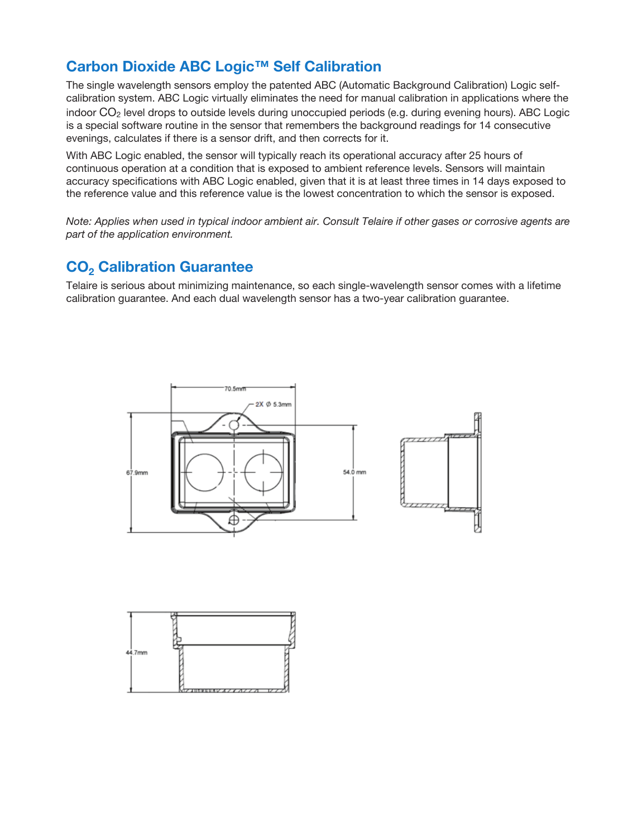# **Carbon Dioxide ABC Logic™ Self Calibration**

The single wavelength sensors employ the patented ABC (Automatic Background Calibration) Logic selfcalibration system. ABC Logic virtually eliminates the need for manual calibration in applications where the indoor CO2 level drops to outside levels during unoccupied periods (e.g. during evening hours). ABC Logic is a special software routine in the sensor that remembers the background readings for 14 consecutive evenings, calculates if there is a sensor drift, and then corrects for it.

With ABC Logic enabled, the sensor will typically reach its operational accuracy after 25 hours of continuous operation at a condition that is exposed to ambient reference levels. Sensors will maintain accuracy specifications with ABC Logic enabled, given that it is at least three times in 14 days exposed to the reference value and this reference value is the lowest concentration to which the sensor is exposed.

*Note: Applies when used in typical indoor ambient air. Consult Telaire if other gases or corrosive agents are part of the application environment.*

## **CO<sub>2</sub> Calibration Guarantee**

Telaire is serious about minimizing maintenance, so each single-wavelength sensor comes with a lifetime calibration guarantee. And each dual wavelength sensor has a two-year calibration guarantee.